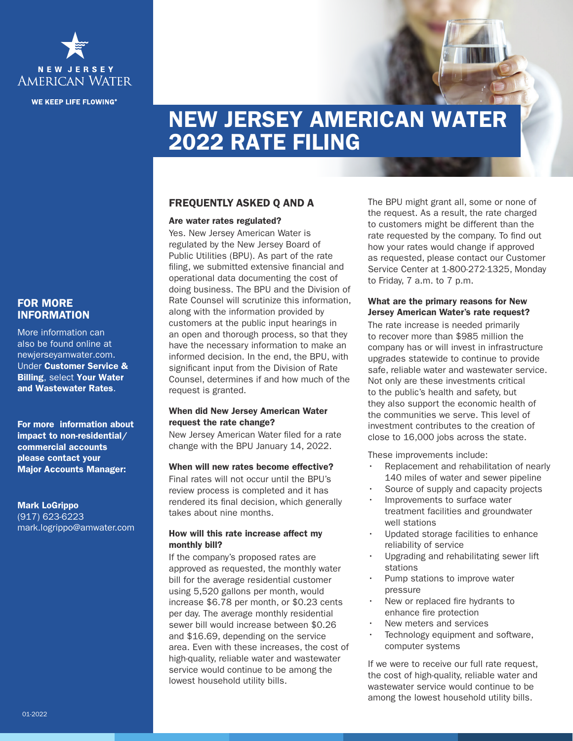

**WE KEEP LIFE FLOWING®** 

# NEW JERSEY AMERICAN WATER 2022 RATE FILING

## FREQUENTLY ASKED Q AND A

#### Are water rates regulated?

Yes. New Jersey American Water is regulated by the New Jersey Board of Public Utilities (BPU). As part of the rate filing, we submitted extensive financial and operational data documenting the cost of doing business. The BPU and the Division of Rate Counsel will scrutinize this information, along with the information provided by customers at the public input hearings in an open and thorough process, so that they have the necessary information to make an informed decision. In the end, the BPU, with significant input from the Division of Rate Counsel, determines if and how much of the request is granted.

### When did New Jersey American Water request the rate change?

New Jersey American Water filed for a rate change with the BPU January 14, 2022.

#### When will new rates become effective?

Final rates will not occur until the BPU's review process is completed and it has rendered its final decision, which generally takes about nine months.

#### How will this rate increase affect my monthly bill?

If the company's proposed rates are approved as requested, the monthly water bill for the average residential customer using 5,520 gallons per month, would increase \$6.78 per month, or \$0.23 cents per day. The average monthly residential sewer bill would increase between \$0.26 and \$16.69, depending on the service area. Even with these increases, the cost of high-quality, reliable water and wastewater service would continue to be among the lowest household utility bills.

The BPU might grant all, some or none of the request. As a result, the rate charged to customers might be different than the rate requested by the company. To find out how your rates would change if approved as requested, please contact our Customer Service Center at 1-800-272-1325, Monday to Friday, 7 a.m. to 7 p.m.

#### What are the primary reasons for New Jersey American Water's rate request?

The rate increase is needed primarily to recover more than \$985 million the company has or will invest in infrastructure upgrades statewide to continue to provide safe, reliable water and wastewater service. Not only are these investments critical to the public's health and safety, but they also support the economic health of the communities we serve. This level of investment contributes to the creation of close to 16,000 jobs across the state.

These improvements include:

- Replacement and rehabilitation of nearly 140 miles of water and sewer pipeline
- Source of supply and capacity projects
- Improvements to surface water treatment facilities and groundwater well stations
- Updated storage facilities to enhance reliability of service
- Upgrading and rehabilitating sewer lift stations
- Pump stations to improve water pressure
- New or replaced fire hydrants to enhance fire protection
- New meters and services
- Technology equipment and software. computer systems

If we were to receive our full rate request, the cost of high-quality, reliable water and wastewater service would continue to be among the lowest household utility bills.

## FOR MORE INFORMATION

More information can also be found online at newjerseyamwater.com. Under Customer Service & Billing, select Your Water and Wastewater Rates.

For more information about impact to non-residential/ commercial accounts please contact your Major Accounts Manager:

#### Mark LoGrippo

(917) 623-6223 mark.logrippo@amwater.com